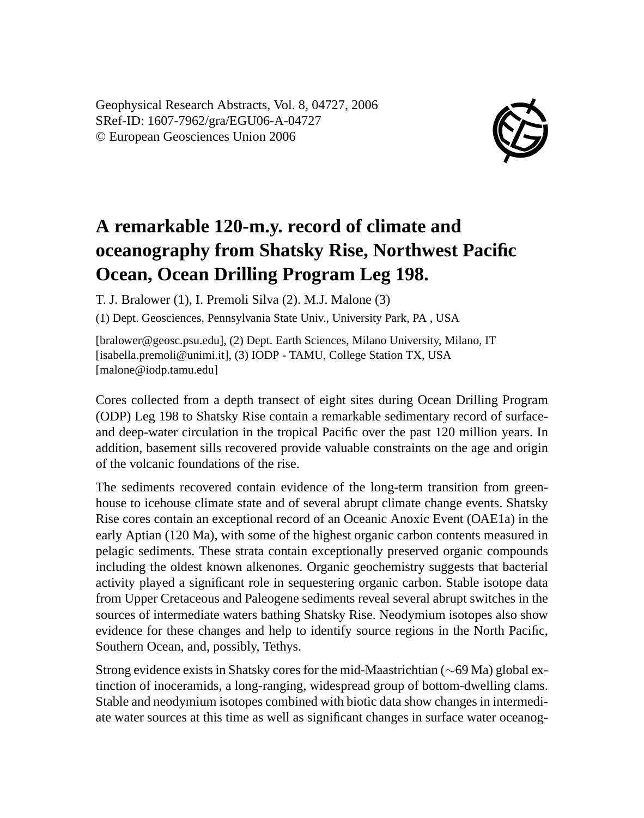Geophysical Research Abstracts, Vol. 8, 04727, 2006 SRef-ID: 1607-7962/gra/EGU06-A-04727 © European Geosciences Union 2006



## **A remarkable 120-m.y. record of climate and oceanography from Shatsky Rise, Northwest Pacific Ocean, Ocean Drilling Program Leg 198.**

T. J. Bralower (1), I. Premoli Silva (2). M.J. Malone (3)

(1) Dept. Geosciences, Pennsylvania State Univ., University Park, PA , USA

[bralower@geosc.psu.edu], (2) Dept. Earth Sciences, Milano University, Milano, IT [isabella.premoli@unimi.it], (3) IODP - TAMU, College Station TX, USA [malone@iodp.tamu.edu]

Cores collected from a depth transect of eight sites during Ocean Drilling Program (ODP) Leg 198 to Shatsky Rise contain a remarkable sedimentary record of surfaceand deep-water circulation in the tropical Pacific over the past 120 million years. In addition, basement sills recovered provide valuable constraints on the age and origin of the volcanic foundations of the rise.

The sediments recovered contain evidence of the long-term transition from greenhouse to icehouse climate state and of several abrupt climate change events. Shatsky Rise cores contain an exceptional record of an Oceanic Anoxic Event (OAE1a) in the early Aptian (120 Ma), with some of the highest organic carbon contents measured in pelagic sediments. These strata contain exceptionally preserved organic compounds including the oldest known alkenones. Organic geochemistry suggests that bacterial activity played a significant role in sequestering organic carbon. Stable isotope data from Upper Cretaceous and Paleogene sediments reveal several abrupt switches in the sources of intermediate waters bathing Shatsky Rise. Neodymium isotopes also show evidence for these changes and help to identify source regions in the North Pacific, Southern Ocean, and, possibly, Tethys.

Strong evidence exists in Shatsky cores for the mid-Maastrichtian (∼69 Ma) global extinction of inoceramids, a long-ranging, widespread group of bottom-dwelling clams. Stable and neodymium isotopes combined with biotic data show changes in intermediate water sources at this time as well as significant changes in surface water oceanog